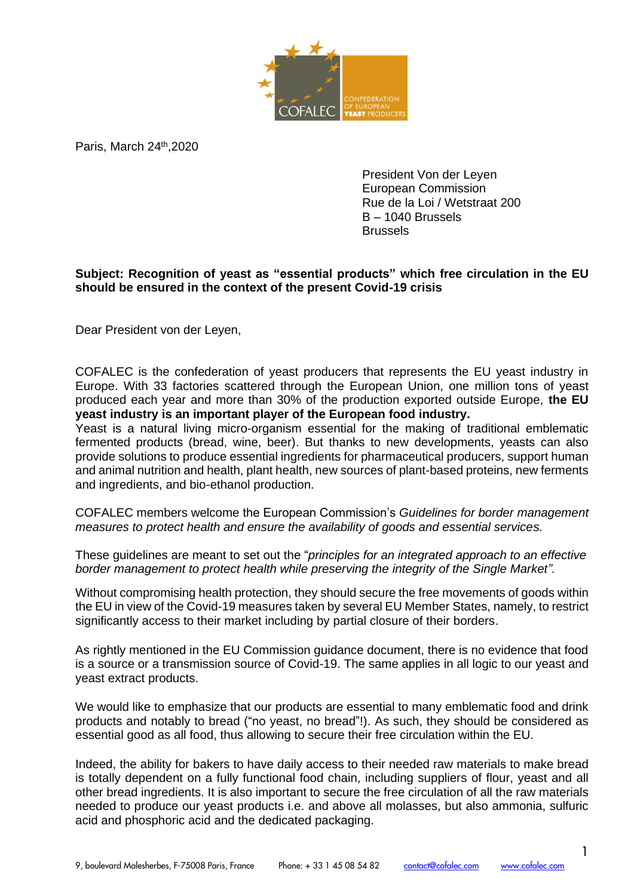

Paris, March 24<sup>th</sup>, 2020

President Von der Leyen European Commission Rue de la Loi / Wetstraat 200 B – 1040 Brussels Brussels

## **Subject: Recognition of yeast as "essential products" which free circulation in the EU should be ensured in the context of the present Covid-19 crisis**

Dear President von der Leyen,

COFALEC is the confederation of yeast producers that represents the EU yeast industry in Europe. With 33 factories scattered through the European Union, one million tons of yeast produced each year and more than 30% of the production exported outside Europe, **the EU yeast industry is an important player of the European food industry.** 

Yeast is a natural living micro-organism essential for the making of traditional emblematic fermented products (bread, wine, beer). But thanks to new developments, yeasts can also provide solutions to produce essential ingredients for pharmaceutical producers, support human and animal nutrition and health, plant health, new sources of plant-based proteins, new ferments and ingredients, and bio-ethanol production.

COFALEC members welcome the European Commission's *Guidelines for border management measures to protect health and ensure the availability of goods and essential services.*

These guidelines are meant to set out the "*principles for an integrated approach to an effective border management to protect health while preserving the integrity of the Single Market".* 

Without compromising health protection, they should secure the free movements of goods within the EU in view of the Covid-19 measures taken by several EU Member States, namely, to restrict significantly access to their market including by partial closure of their borders.

As rightly mentioned in the EU Commission guidance document, there is no evidence that food is a source or a transmission source of Covid-19. The same applies in all logic to our yeast and yeast extract products.

We would like to emphasize that our products are essential to many emblematic food and drink products and notably to bread ("no yeast, no bread"!). As such, they should be considered as essential good as all food, thus allowing to secure their free circulation within the EU.

Indeed, the ability for bakers to have daily access to their needed raw materials to make bread is totally dependent on a fully functional food chain, including suppliers of flour, yeast and all other bread ingredients. It is also important to secure the free circulation of all the raw materials needed to produce our yeast products i.e. and above all molasses, but also ammonia, sulfuric acid and phosphoric acid and the dedicated packaging.

1